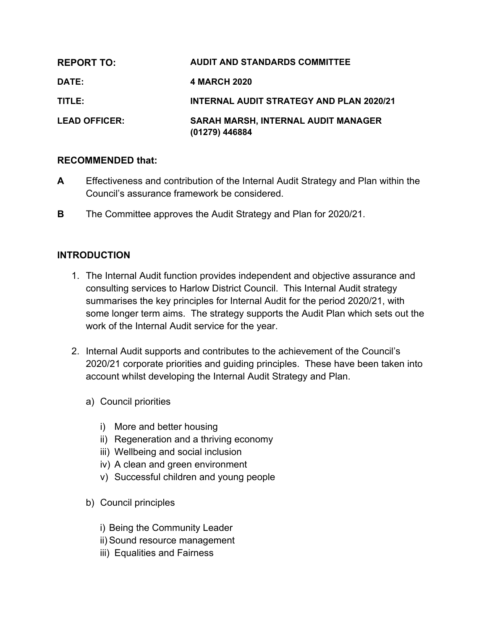| <b>REPORT TO:</b>    | <b>AUDIT AND STANDARDS COMMITTEE</b>                  |
|----------------------|-------------------------------------------------------|
| DATE:                | 4 MARCH 2020                                          |
| TITLE:               | <b>INTERNAL AUDIT STRATEGY AND PLAN 2020/21</b>       |
| <b>LEAD OFFICER:</b> | SARAH MARSH, INTERNAL AUDIT MANAGER<br>(01279) 446884 |

#### **RECOMMENDED that:**

- **A** Effectiveness and contribution of the Internal Audit Strategy and Plan within the Council's assurance framework be considered.
- **B** The Committee approves the Audit Strategy and Plan for 2020/21.

#### **INTRODUCTION**

- 1. The Internal Audit function provides independent and objective assurance and consulting services to Harlow District Council. This Internal Audit strategy summarises the key principles for Internal Audit for the period 2020/21, with some longer term aims. The strategy supports the Audit Plan which sets out the work of the Internal Audit service for the year.
- 2. Internal Audit supports and contributes to the achievement of the Council's 2020/21 corporate priorities and guiding principles. These have been taken into account whilst developing the Internal Audit Strategy and Plan.
	- a) Council priorities
		- i) More and better housing
		- ii) Regeneration and a thriving economy
		- iii) Wellbeing and social inclusion
		- iv) A clean and green environment
		- v) Successful children and young people
	- b) Council principles
		- i) Being the Community Leader
		- ii) Sound resource management
		- iii) Equalities and Fairness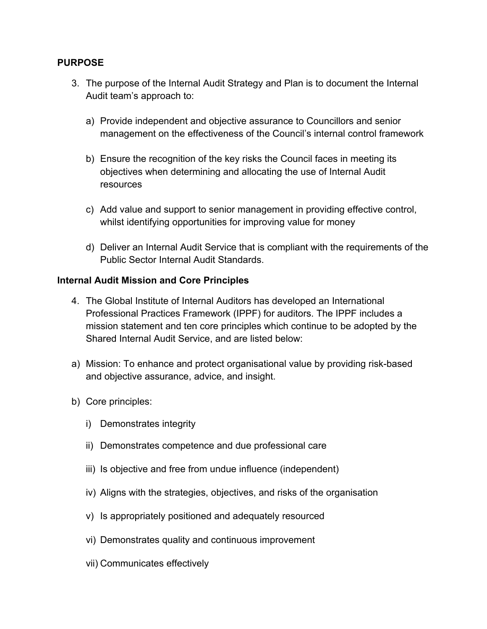### **PURPOSE**

- 3. The purpose of the Internal Audit Strategy and Plan is to document the Internal Audit team's approach to:
	- a) Provide independent and objective assurance to Councillors and senior management on the effectiveness of the Council's internal control framework
	- b) Ensure the recognition of the key risks the Council faces in meeting its objectives when determining and allocating the use of Internal Audit resources
	- c) Add value and support to senior management in providing effective control, whilst identifying opportunities for improving value for money
	- d) Deliver an Internal Audit Service that is compliant with the requirements of the Public Sector Internal Audit Standards.

### **Internal Audit Mission and Core Principles**

- 4. The Global Institute of Internal Auditors has developed an International Professional Practices Framework (IPPF) for auditors. The IPPF includes a mission statement and ten core principles which continue to be adopted by the Shared Internal Audit Service, and are listed below:
- a) Mission: To enhance and protect organisational value by providing risk-based and objective assurance, advice, and insight.
- b) Core principles:
	- i) Demonstrates integrity
	- ii) Demonstrates competence and due professional care
	- iii) Is objective and free from undue influence (independent)
	- iv) Aligns with the strategies, objectives, and risks of the organisation
	- v) Is appropriately positioned and adequately resourced
	- vi) Demonstrates quality and continuous improvement
	- vii) Communicates effectively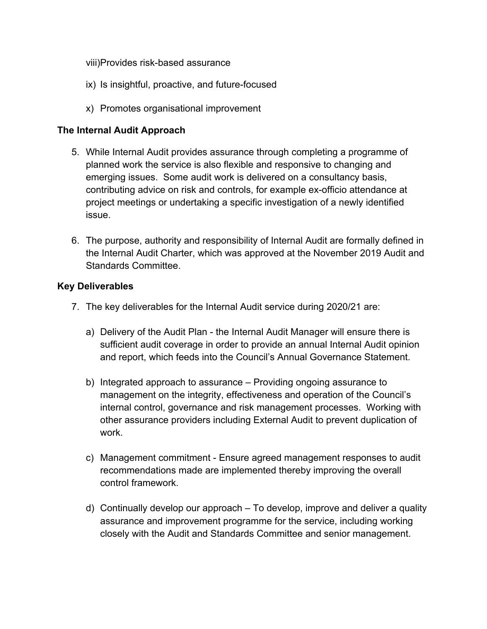viii)Provides risk-based assurance

- ix) Is insightful, proactive, and future-focused
- x) Promotes organisational improvement

### **The Internal Audit Approach**

- 5. While Internal Audit provides assurance through completing a programme of planned work the service is also flexible and responsive to changing and emerging issues. Some audit work is delivered on a consultancy basis, contributing advice on risk and controls, for example ex-officio attendance at project meetings or undertaking a specific investigation of a newly identified issue.
- 6. The purpose, authority and responsibility of Internal Audit are formally defined in the Internal Audit Charter, which was approved at the November 2019 Audit and Standards Committee.

### **Key Deliverables**

- 7. The key deliverables for the Internal Audit service during 2020/21 are:
	- a) Delivery of the Audit Plan the Internal Audit Manager will ensure there is sufficient audit coverage in order to provide an annual Internal Audit opinion and report, which feeds into the Council's Annual Governance Statement.
	- b) Integrated approach to assurance Providing ongoing assurance to management on the integrity, effectiveness and operation of the Council's internal control, governance and risk management processes. Working with other assurance providers including External Audit to prevent duplication of work.
	- c) Management commitment Ensure agreed management responses to audit recommendations made are implemented thereby improving the overall control framework.
	- d) Continually develop our approach To develop, improve and deliver a quality assurance and improvement programme for the service, including working closely with the Audit and Standards Committee and senior management.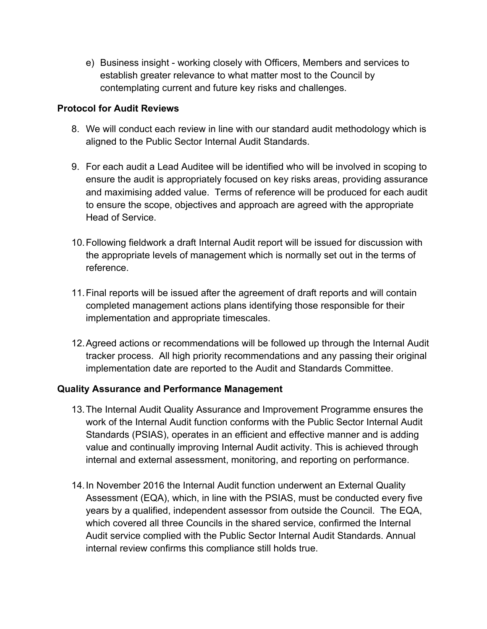e) Business insight - working closely with Officers, Members and services to establish greater relevance to what matter most to the Council by contemplating current and future key risks and challenges.

## **Protocol for Audit Reviews**

- 8. We will conduct each review in line with our standard audit methodology which is aligned to the Public Sector Internal Audit Standards.
- 9. For each audit a Lead Auditee will be identified who will be involved in scoping to ensure the audit is appropriately focused on key risks areas, providing assurance and maximising added value. Terms of reference will be produced for each audit to ensure the scope, objectives and approach are agreed with the appropriate Head of Service.
- 10.Following fieldwork a draft Internal Audit report will be issued for discussion with the appropriate levels of management which is normally set out in the terms of reference.
- 11.Final reports will be issued after the agreement of draft reports and will contain completed management actions plans identifying those responsible for their implementation and appropriate timescales.
- 12.Agreed actions or recommendations will be followed up through the Internal Audit tracker process. All high priority recommendations and any passing their original implementation date are reported to the Audit and Standards Committee.

## **Quality Assurance and Performance Management**

- 13.The Internal Audit Quality Assurance and Improvement Programme ensures the work of the Internal Audit function conforms with the Public Sector Internal Audit Standards (PSIAS), operates in an efficient and effective manner and is adding value and continually improving Internal Audit activity. This is achieved through internal and external assessment, monitoring, and reporting on performance.
- 14.In November 2016 the Internal Audit function underwent an External Quality Assessment (EQA), which, in line with the PSIAS, must be conducted every five years by a qualified, independent assessor from outside the Council. The EQA, which covered all three Councils in the shared service, confirmed the Internal Audit service complied with the Public Sector Internal Audit Standards. Annual internal review confirms this compliance still holds true.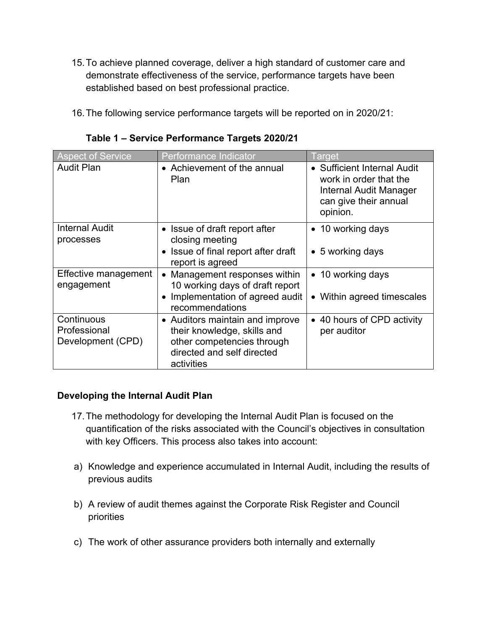- 15.To achieve planned coverage, deliver a high standard of customer care and demonstrate effectiveness of the service, performance targets have been established based on best professional practice.
- 16.The following service performance targets will be reported on in 2020/21:

| <b>Aspect of Service</b>                        | Performance Indicator                                                                                                                    | Target                                                                                                               |
|-------------------------------------------------|------------------------------------------------------------------------------------------------------------------------------------------|----------------------------------------------------------------------------------------------------------------------|
| <b>Audit Plan</b>                               | • Achievement of the annual<br><b>Plan</b>                                                                                               | • Sufficient Internal Audit<br>work in order that the<br>Internal Audit Manager<br>can give their annual<br>opinion. |
| <b>Internal Audit</b><br>processes              | Issue of draft report after<br>closing meeting                                                                                           | • 10 working days                                                                                                    |
|                                                 | • Issue of final report after draft<br>report is agreed                                                                                  | $\bullet$ 5 working days                                                                                             |
| Effective management<br>engagement              | Management responses within<br>10 working days of draft report                                                                           | • 10 working days                                                                                                    |
|                                                 | • Implementation of agreed audit<br>recommendations                                                                                      | • Within agreed timescales                                                                                           |
| Continuous<br>Professional<br>Development (CPD) | • Auditors maintain and improve<br>their knowledge, skills and<br>other competencies through<br>directed and self directed<br>activities | • 40 hours of CPD activity<br>per auditor                                                                            |

**Table 1 – Service Performance Targets 2020/21**

## **Developing the Internal Audit Plan**

- 17.The methodology for developing the Internal Audit Plan is focused on the quantification of the risks associated with the Council's objectives in consultation with key Officers. This process also takes into account:
- a) Knowledge and experience accumulated in Internal Audit, including the results of previous audits
- b) A review of audit themes against the Corporate Risk Register and Council priorities
- c) The work of other assurance providers both internally and externally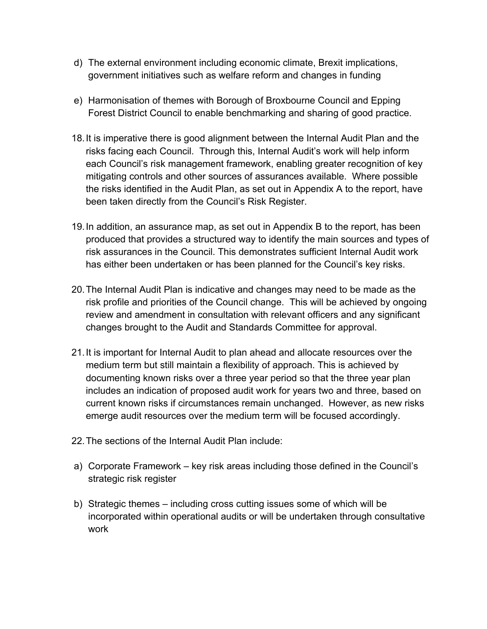- d) The external environment including economic climate, Brexit implications, government initiatives such as welfare reform and changes in funding
- e) Harmonisation of themes with Borough of Broxbourne Council and Epping Forest District Council to enable benchmarking and sharing of good practice.
- 18.It is imperative there is good alignment between the Internal Audit Plan and the risks facing each Council. Through this, Internal Audit's work will help inform each Council's risk management framework, enabling greater recognition of key mitigating controls and other sources of assurances available. Where possible the risks identified in the Audit Plan, as set out in Appendix A to the report, have been taken directly from the Council's Risk Register.
- 19.In addition, an assurance map, as set out in Appendix B to the report, has been produced that provides a structured way to identify the main sources and types of risk assurances in the Council. This demonstrates sufficient Internal Audit work has either been undertaken or has been planned for the Council's key risks.
- 20.The Internal Audit Plan is indicative and changes may need to be made as the risk profile and priorities of the Council change. This will be achieved by ongoing review and amendment in consultation with relevant officers and any significant changes brought to the Audit and Standards Committee for approval.
- 21.It is important for Internal Audit to plan ahead and allocate resources over the medium term but still maintain a flexibility of approach. This is achieved by documenting known risks over a three year period so that the three year plan includes an indication of proposed audit work for years two and three, based on current known risks if circumstances remain unchanged. However, as new risks emerge audit resources over the medium term will be focused accordingly.
- 22.The sections of the Internal Audit Plan include:
- a) Corporate Framework key risk areas including those defined in the Council's strategic risk register
- b) Strategic themes including cross cutting issues some of which will be incorporated within operational audits or will be undertaken through consultative work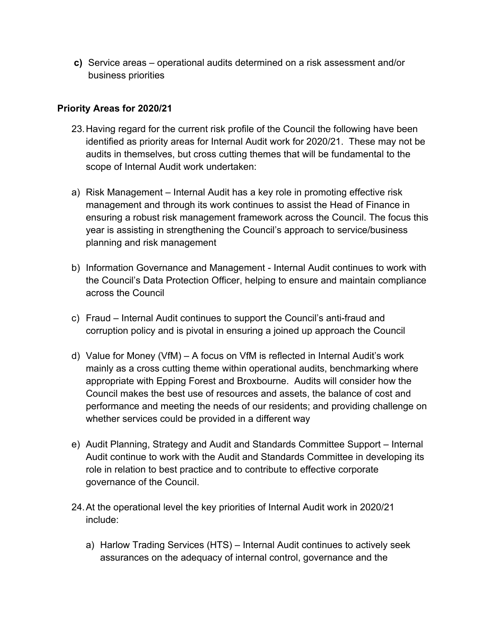**c)** Service areas – operational audits determined on a risk assessment and/or business priorities

# **Priority Areas for 2020/21**

- 23.Having regard for the current risk profile of the Council the following have been identified as priority areas for Internal Audit work for 2020/21. These may not be audits in themselves, but cross cutting themes that will be fundamental to the scope of Internal Audit work undertaken:
- a) Risk Management Internal Audit has a key role in promoting effective risk management and through its work continues to assist the Head of Finance in ensuring a robust risk management framework across the Council. The focus this year is assisting in strengthening the Council's approach to service/business planning and risk management
- b) Information Governance and Management Internal Audit continues to work with the Council's Data Protection Officer, helping to ensure and maintain compliance across the Council
- c) Fraud Internal Audit continues to support the Council's anti-fraud and corruption policy and is pivotal in ensuring a joined up approach the Council
- d) Value for Money (VfM) A focus on VfM is reflected in Internal Audit's work mainly as a cross cutting theme within operational audits, benchmarking where appropriate with Epping Forest and Broxbourne. Audits will consider how the Council makes the best use of resources and assets, the balance of cost and performance and meeting the needs of our residents; and providing challenge on whether services could be provided in a different way
- e) Audit Planning, Strategy and Audit and Standards Committee Support Internal Audit continue to work with the Audit and Standards Committee in developing its role in relation to best practice and to contribute to effective corporate governance of the Council.
- 24.At the operational level the key priorities of Internal Audit work in 2020/21 include:
	- a) Harlow Trading Services (HTS) Internal Audit continues to actively seek assurances on the adequacy of internal control, governance and the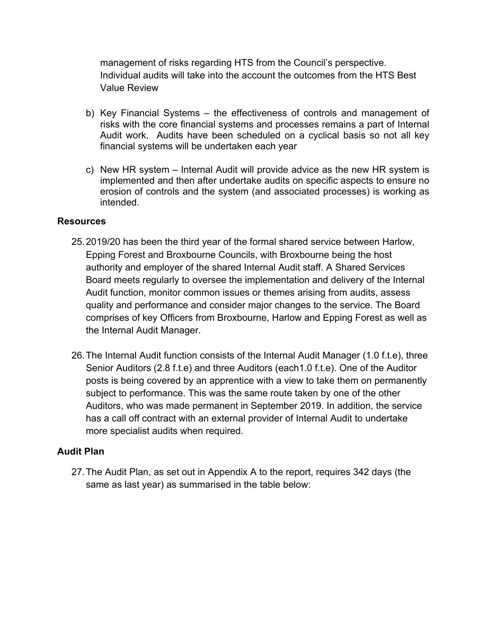management of risks regarding HTS from the Council's perspective. Individual audits will take into the account the outcomes from the HTS Best Value Review

- b) Key Financial Systems the effectiveness of controls and management of risks with the core financial systems and processes remains a part of Internal Audit work. Audits have been scheduled on a cyclical basis so not all key financial systems will be undertaken each year
- c) New HR system Internal Audit will provide advice as the new HR system is implemented and then after undertake audits on specific aspects to ensure no erosion of controls and the system (and associated processes) is working as intended.

### **Resources**

- 25.2019/20 has been the third year of the formal shared service between Harlow, Epping Forest and Broxbourne Councils, with Broxbourne being the host authority and employer of the shared Internal Audit staff. A Shared Services Board meets regularly to oversee the implementation and delivery of the Internal Audit function, monitor common issues or themes arising from audits, assess quality and performance and consider major changes to the service. The Board comprises of key Officers from Broxbourne, Harlow and Epping Forest as well as the Internal Audit Manager.
- 26.The Internal Audit function consists of the Internal Audit Manager (1.0 f.t.e), three Senior Auditors (2.8 f.t.e) and three Auditors (each1.0 f.t.e). One of the Auditor posts is being covered by an apprentice with a view to take them on permanently subject to performance. This was the same route taken by one of the other Auditors, who was made permanent in September 2019. In addition, the service has a call off contract with an external provider of Internal Audit to undertake more specialist audits when required.

## **Audit Plan**

27.The Audit Plan, as set out in Appendix A to the report, requires 342 days (the same as last year) as summarised in the table below: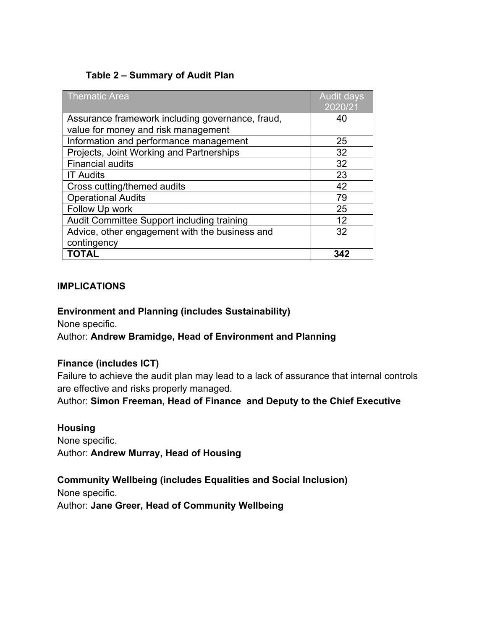# **Table 2 – Summary of Audit Plan**

| <b>Thematic Area</b>                             | <b>Audit days</b><br>2020/21 |
|--------------------------------------------------|------------------------------|
| Assurance framework including governance, fraud, | 40                           |
| value for money and risk management              |                              |
| Information and performance management           | 25                           |
| Projects, Joint Working and Partnerships         | 32                           |
| <b>Financial audits</b>                          | 32                           |
| <b>IT Audits</b>                                 | 23                           |
| Cross cutting/themed audits                      | 42                           |
| <b>Operational Audits</b>                        | 79                           |
| Follow Up work                                   | 25                           |
| Audit Committee Support including training       | 12                           |
| Advice, other engagement with the business and   | 32                           |
| contingency                                      |                              |
| TOTAL                                            | 342                          |

#### **IMPLICATIONS**

#### **Environment and Planning (includes Sustainability)**

None specific.

## Author: **Andrew Bramidge, Head of Environment and Planning**

## **Finance (includes ICT)**

Failure to achieve the audit plan may lead to a lack of assurance that internal controls are effective and risks properly managed.

Author: **Simon Freeman, Head of Finance and Deputy to the Chief Executive**

#### **Housing**

None specific. Author: **Andrew Murray, Head of Housing**

## **Community Wellbeing (includes Equalities and Social Inclusion)**

None specific.

Author: **Jane Greer, Head of Community Wellbeing**